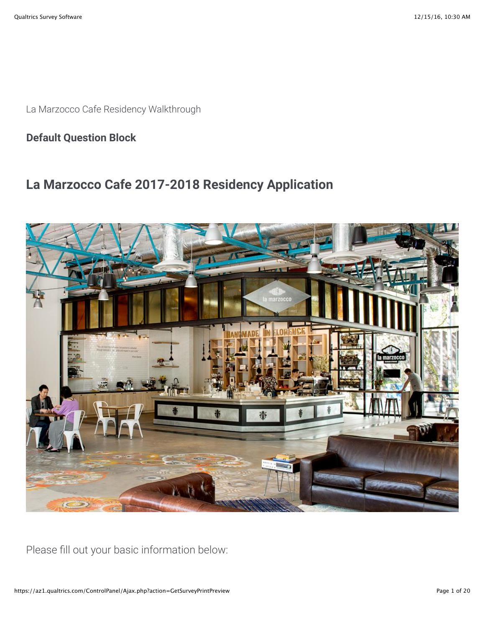La Marzocco Cafe Residency Walkthrough

**Default Question Block**

# **La Marzocco Cafe 2017-2018 Residency Application**



Please fill out your basic information below: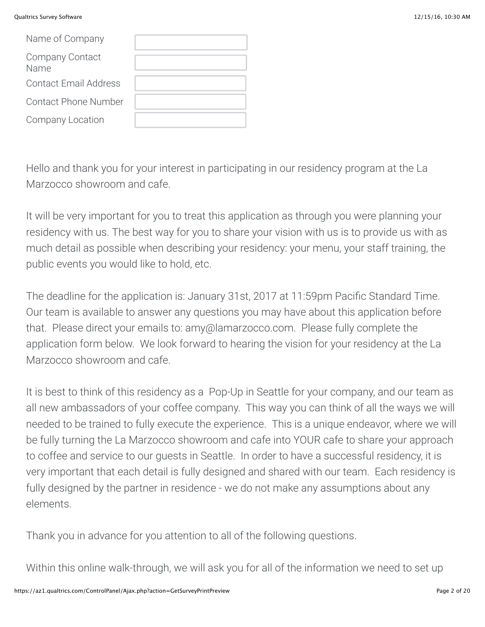#### Qualtrics Survey Software 12/15/16, 10:30 AM

| Name of Company              |  |
|------------------------------|--|
| Company Contact<br>Name      |  |
| <b>Contact Email Address</b> |  |
| Contact Phone Number         |  |
| Company Location             |  |

Hello and thank you for your interest in participating in our residency program at the La Marzocco showroom and cafe.

It will be very important for you to treat this application as through you were planning your residency with us. The best way for you to share your vision with us is to provide us with as much detail as possible when describing your residency: your menu, your staff training, the public events you would like to hold, etc.

The deadline for the application is: January 31st, 2017 at 11:59pm Pacific Standard Time. Our team is available to answer any questions you may have about this application before that. Please direct your emails to: amy@lamarzocco.com. Please fully complete the application form below. We look forward to hearing the vision for your residency at the La Marzocco showroom and cafe.

It is best to think of this residency as a Pop-Up in Seattle for your company, and our team as all new ambassadors of your coffee company. This way you can think of all the ways we will needed to be trained to fully execute the experience. This is a unique endeavor, where we will be fully turning the La Marzocco showroom and cafe into YOUR cafe to share your approach to coffee and service to our guests in Seattle. In order to have a successful residency, it is very important that each detail is fully designed and shared with our team. Each residency is fully designed by the partner in residence - we do not make any assumptions about any elements.

Thank you in advance for you attention to all of the following questions.

Within this online walk-through, we will ask you for all of the information we need to set up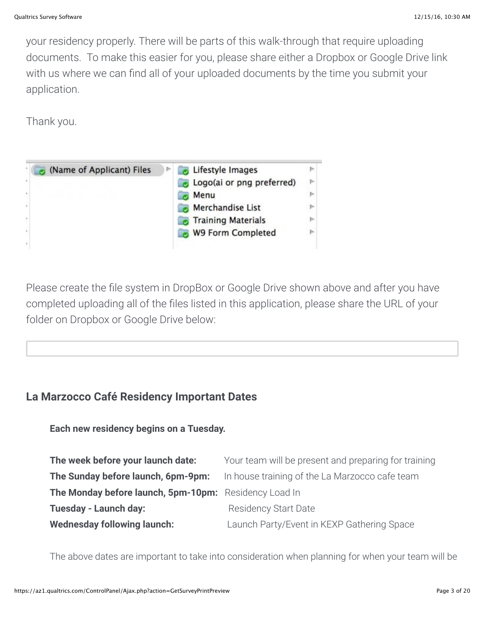your residency properly. There will be parts of this walk-through that require uploading documents. To make this easier for you, please share either a Dropbox or Google Drive link with us where we can find all of your uploaded documents by the time you submit your application.

Thank you.

| ×  | (Name of Applicant) Files | Lifestyle Images<br>Logo(ai or png preferred) | $\triangleright$ |
|----|---------------------------|-----------------------------------------------|------------------|
|    |                           | Menu                                          |                  |
| Ÿ. |                           | Merchandise List                              |                  |
| ×, |                           | <b>Training Materials</b>                     |                  |
| i. |                           | <b>W9 Form Completed</b>                      |                  |
| ä  |                           |                                               |                  |

Please create the file system in DropBox or Google Drive shown above and after you have completed uploading all of the files listed in this application, please share the URL of your folder on Dropbox or Google Drive below:

# **La Marzocco Café Residency Important Dates**

**Each new residency begins on a Tuesday.** 

| The week before your launch date:                     | Your team will be present and preparing for training |  |  |
|-------------------------------------------------------|------------------------------------------------------|--|--|
| The Sunday before launch, 6pm-9pm:                    | In house training of the La Marzocco cafe team       |  |  |
| The Monday before launch, 5pm-10pm: Residency Load In |                                                      |  |  |
| <b>Tuesday - Launch day:</b>                          | <b>Residency Start Date</b>                          |  |  |
| <b>Wednesday following launch:</b>                    | Launch Party/Event in KEXP Gathering Space           |  |  |

The above dates are important to take into consideration when planning for when your team will be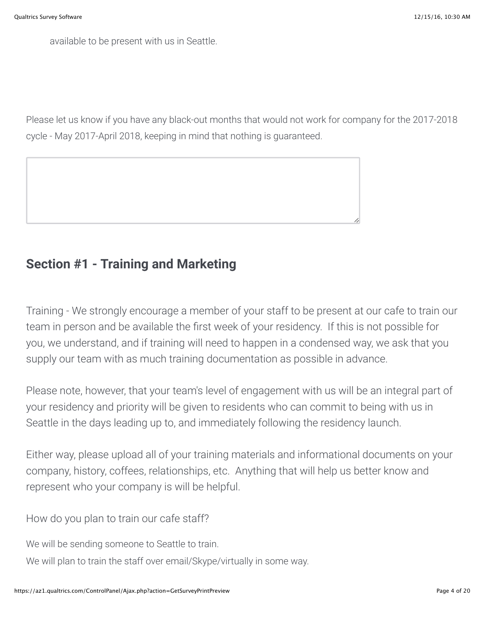available to be present with us in Seattle.

Please let us know if you have any black-out months that would not work for company for the 2017-2018 cycle - May 2017-April 2018, keeping in mind that nothing is guaranteed.



# **Section #1 - Training and Marketing**

Training - We strongly encourage a member of your staff to be present at our cafe to train our team in person and be available the first week of your residency. If this is not possible for you, we understand, and if training will need to happen in a condensed way, we ask that you supply our team with as much training documentation as possible in advance.

Please note, however, that your team's level of engagement with us will be an integral part of your residency and priority will be given to residents who can commit to being with us in Seattle in the days leading up to, and immediately following the residency launch.

Either way, please upload all of your training materials and informational documents on your company, history, coffees, relationships, etc. Anything that will help us better know and represent who your company is will be helpful.

How do you plan to train our cafe staff?

We will be sending someone to Seattle to train.

We will plan to train the staff over email/Skype/virtually in some way.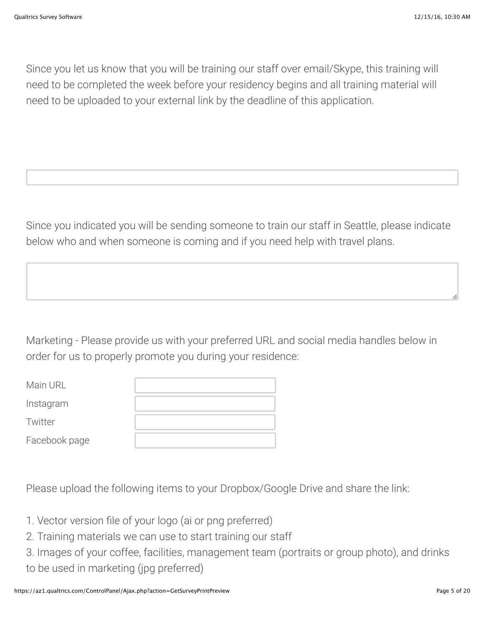Since you let us know that you will be training our staff over email/Skype, this training will need to be completed the week before your residency begins and all training material will need to be uploaded to your external link by the deadline of this application.

Since you indicated you will be sending someone to train our staff in Seattle, please indicate below who and when someone is coming and if you need help with travel plans.

Marketing - Please provide us with your preferred URL and social media handles below in order for us to properly promote you during your residence:

| Main URL      |  |
|---------------|--|
| Instagram     |  |
| Twitter       |  |
| Facebook page |  |

Please upload the following items to your Dropbox/Google Drive and share the link:

- 1. Vector version file of your logo (ai or png preferred)
- 2. Training materials we can use to start training our staff
- 3. Images of your coffee, facilities, management team (portraits or group photo), and drinks to be used in marketing (jpg preferred)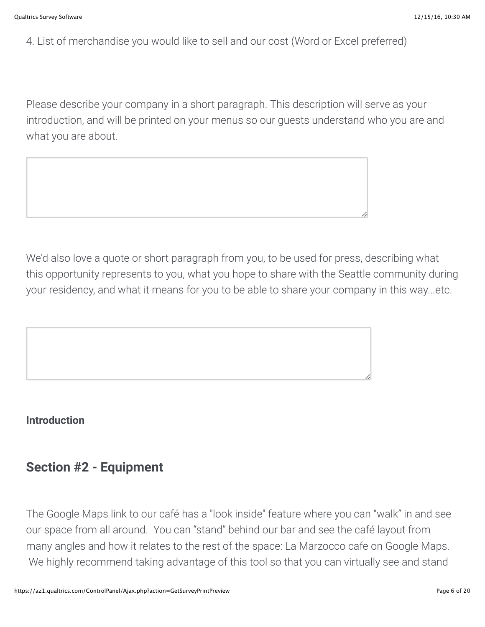4. List of merchandise you would like to sell and our cost (Word or Excel preferred)

Please describe your company in a short paragraph. This description will serve as your introduction, and will be printed on your menus so our guests understand who you are and what you are about.



We'd also love a quote or short paragraph from you, to be used for press, describing what this opportunity represents to you, what you hope to share with the Seattle community during your residency, and what it means for you to be able to share your company in this way...etc.



# **Introduction**

# **Section #2 - Equipment**

The Google Maps link to our café has a "look inside" feature where you can "walk" in and see our space from all around. You can "stand" behind our bar and see the café layout from many angles and how it relates to the rest of the space: La Marzocco cafe on Google Maps. We highly recommend taking advantage of this tool so that you can virtually see and stand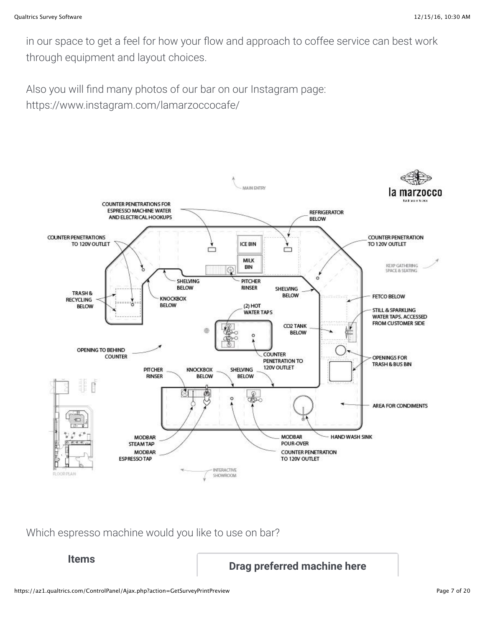in our space to get a feel for how your flow and approach to coffee service can best work through equipment and layout choices.

Also you will find many photos of our bar on our Instagram page: https://www.instagram.com/lamarzoccocafe/



Which espresso machine would you like to use on bar?

**Items Drag preferred machine here**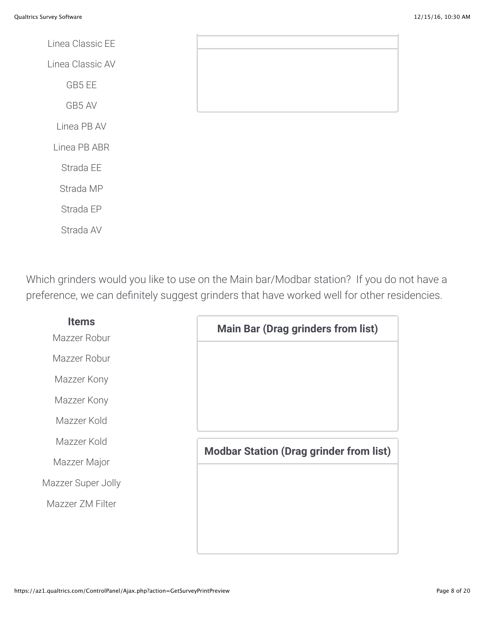Linea Classic EE Linea Classic AV GB5 EE GB5 AV Linea PB AV Linea PB ABR Strada EE Strada MP Strada EP Strada AV

Which grinders would you like to use on the Main bar/Modbar station? If you do not have a preference, we can definitely suggest grinders that have worked well for other residencies.

| <b>Items</b><br>Mazzer Robur | <b>Main Bar (Drag grinders from list)</b>      |
|------------------------------|------------------------------------------------|
| Mazzer Robur                 |                                                |
| Mazzer Kony                  |                                                |
| Mazzer Kony                  |                                                |
| Mazzer Kold                  |                                                |
| Mazzer Kold                  | <b>Modbar Station (Drag grinder from list)</b> |
| Mazzer Major                 |                                                |
| Mazzer Super Jolly           |                                                |
| Mazzer ZM Filter             |                                                |
|                              |                                                |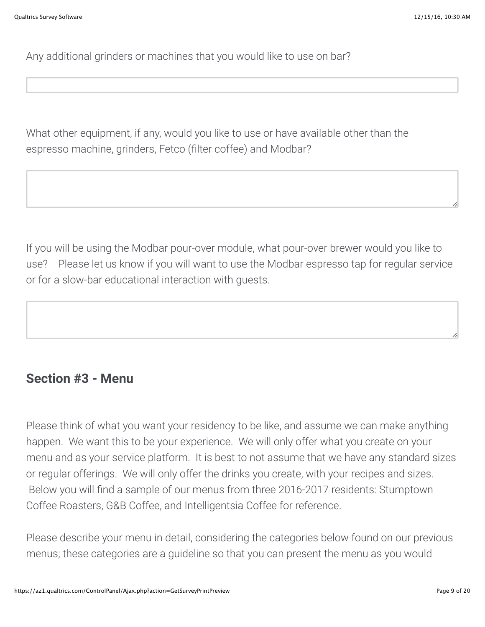Any additional grinders or machines that you would like to use on bar?

What other equipment, if any, would you like to use or have available other than the espresso machine, grinders, Fetco (filter coffee) and Modbar?

If you will be using the Modbar pour-over module, what pour-over brewer would you like to use? Please let us know if you will want to use the Modbar espresso tap for regular service or for a slow-bar educational interaction with guests.

# **Section #3 - Menu**

Please think of what you want your residency to be like, and assume we can make anything happen. We want this to be your experience. We will only offer what you create on your menu and as your service platform. It is best to not assume that we have any standard sizes or regular offerings. We will only offer the drinks you create, with your recipes and sizes. Below you will find a sample of our menus from three 2016-2017 residents: Stumptown Coffee Roasters, G&B Coffee, and Intelligentsia Coffee for reference.

Please describe your menu in detail, considering the categories below found on our previous menus; these categories are a guideline so that you can present the menu as you would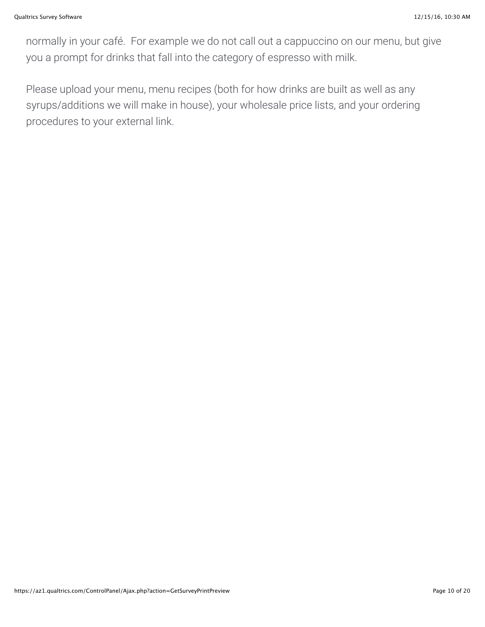normally in your café. For example we do not call out a cappuccino on our menu, but give you a prompt for drinks that fall into the category of espresso with milk.

Please upload your menu, menu recipes (both for how drinks are built as well as any syrups/additions we will make in house), your wholesale price lists, and your ordering procedures to your external link.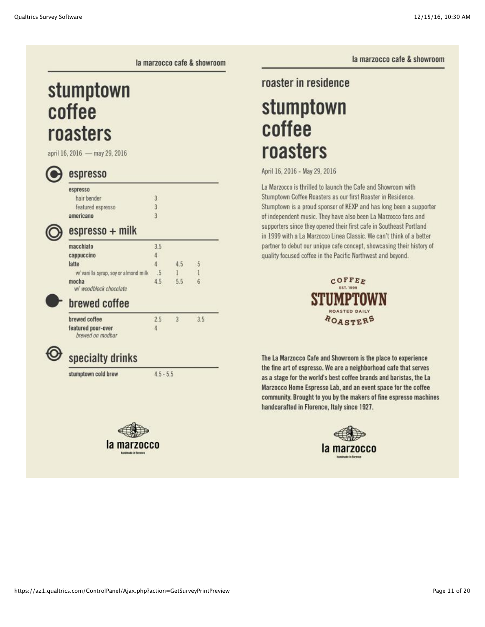la marzocco cafe & showroom

la marzocco cafe & showroom

# stumptown coffee roasters

april 16, 2016 - may 29, 2016



# espresso

| spresso           |                |  |
|-------------------|----------------|--|
| hair bender       | $\overline{3}$ |  |
| featured espresso | $\overline{3}$ |  |
| mericano          | $\overline{3}$ |  |
|                   |                |  |

# espresso + milk

| 4.5 | 5 |
|-----|---|
|     |   |
| 5.5 | 6 |
| .5  |   |

## prewed comee

| brewed coffee                          | 2.5 |  |
|----------------------------------------|-----|--|
| featured pour-over<br>brewed on modbar | д   |  |

# specialty drinks

stumptown cold brew

```
4.5 - 5.5
```


### roaster in residence

# stumptown coffee roasters

April 16, 2016 - May 29, 2016

La Marzocco is thrilled to launch the Cafe and Showroom with Stumptown Coffee Roasters as our first Roaster in Residence. Stumptown is a proud sponsor of KEXP and has long been a supporter of independent music. They have also been La Marzocco fans and supporters since they opened their first cafe in Southeast Portland in 1999 with a La Marzocco Linea Classic. We can't think of a better partner to debut our unique cafe concept, showcasing their history of quality focused coffee in the Pacific Northwest and beyond.



The La Marzocco Cafe and Showroom is the place to experience the fine art of espresso. We are a neighborhood cafe that serves as a stage for the world's best coffee brands and baristas, the La Marzocco Home Espresso Lab, and an event space for the coffee community. Brought to you by the makers of fine espresso machines handcarafted in Florence, Italy since 1927.

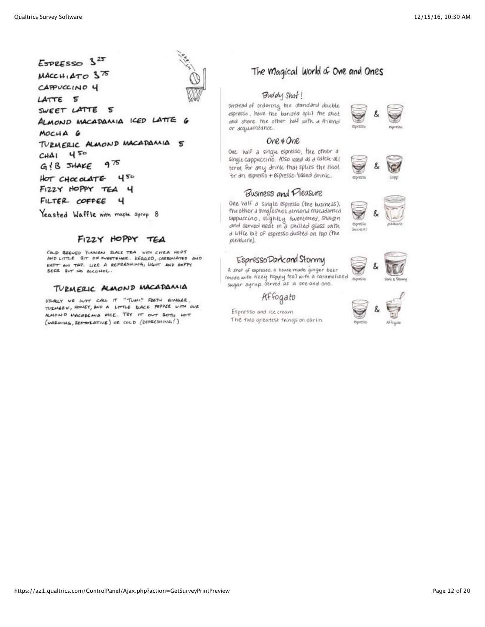$ExPESSO$   $3^{25}$  $MACCH \, ATO \, 375$ CAPPUCCINO 4 LATTE 5 SWEET LATTE 5 ALMOND MACADAMIA ICED LATTE 6 MOCHA G TURMERIC ALMOND MACADAMIA  $\mathbf{s}$  $450$  $CH\Delta 1$  $975$  $GIB$  JHAKE HOT CHOCOLATE 450 FIZZY HOPPY TEA ч FILTER COFFEE ч

Yeasted Waffle with mople syrup 8

### FIZZY HOPPY TEA

COLD BREVED YUNNAN BLACK TEA WITH CITRA HOPS AND LITTLE BIT OF INEETENER. KEGGED, CARBONATED AND KEPT ON TAP. LIKE A REFRESHING, LIGHT AND HOPPY BEER BUT NO ALCOHOL.

#### TURMERIC ALMOND MACADAMIA

USUALY WE SUTT CALL IT "TUM!" FRETH EINGER. TUZMEZIC, HONEY, AND A LITTLE BLACK PEPPER WITH OUR ALMOND MACADEMIA MILE. TRY IT OUT BOTH HOT (WARMING, RESTORATIVE) OF COLD (REPRESHING!)



#### Buddy Shot!

Instead of ordering the standard double espresso, have the barista split the shot and share the other half with a friend or acquaintance.

#### One & One

One half a single espresso, the other a single cappucerno. Also used as a catch-all term for any drunk that splits the shot "or an espresso + espresso-based drink.

### Business and Pleasure

One half a single espresso (the business), the other a singlesnot almond macadamia coppuccino, stightly sweetened, shaken and served neat in a chilled glass with a liftle bit of espresso dusted on top (the pleasure).

#### EspressoDarkand Stormy

A shot of espresso, a house-made ginger beer imade with fizzy hoppy tea) with a caramelized sugar syrup. Served as a one and one.

Affogato

Espresso and ice cream. The two greatest things on earth.









Spresso

ecoretico





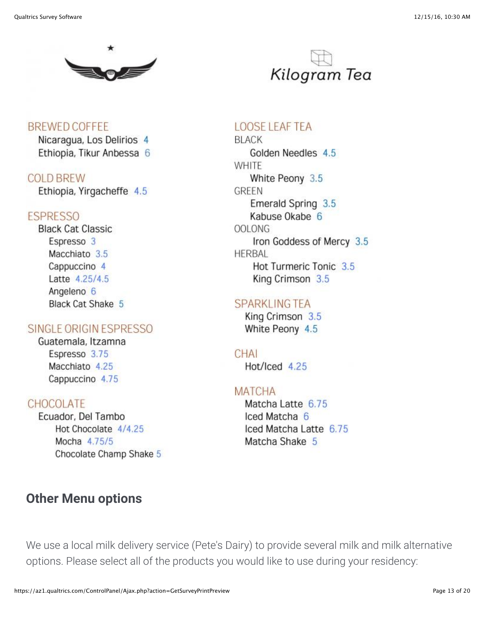

**BREWED COFFEE** Nicaragua, Los Delirios 4 Ethiopia, Tikur Anbessa 6

### **COLD BREW**

Ethiopia, Yirgacheffe 4.5

### **ESPRESSO**

**Black Cat Classic** Espresso 3 Macchiato 3.5 Cappuccino 4 Latte 4.25/4.5 Angeleno<sub>6</sub> **Black Cat Shake 5** 

### SINGLE ORIGIN ESPRESSO

Guatemala, Itzamna Espresso 3.75 Macchiato 4.25 Cappuccino 4.75

## CHOCOLATE

Ecuador, Del Tambo Hot Chocolate 4/4.25 Mocha 4.75/5 Chocolate Champ Shake 5

# **Other Menu options**



## **LOOSE LEAF TEA**

**BLACK** Golden Needles 4.5 **WHITE** White Peony 3.5 GREEN Emerald Spring 3.5 Kabuse Okabe 6 OOL ONG Iron Goddess of Mercy 3.5 **HERBAL** Hot Turmeric Tonic 3.5 King Crimson 3.5

### **SPARKLING TEA**

King Crimson 3.5 White Peony 4.5

CHAI Hot/Iced 4.25

### **MATCHA**

Matcha Latte 6.75 Iced Matcha 6 Iced Matcha Latte 6.75 Matcha Shake 5

We use a local milk delivery service (Pete's Dairy) to provide several milk and milk alternative options. Please select all of the products you would like to use during your residency: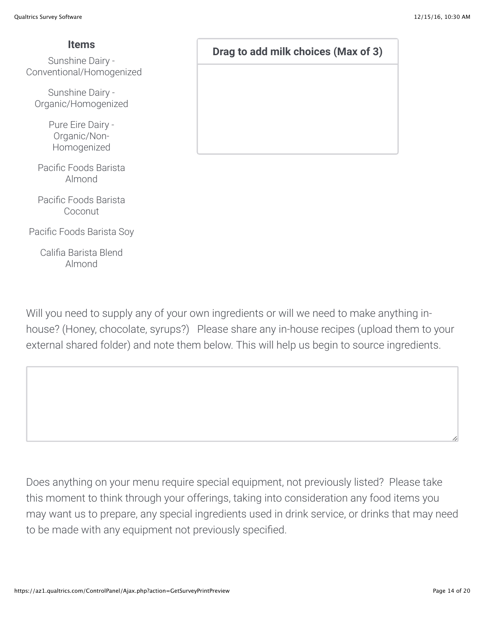Conventional/Homogenized

Sunshine Dairy - Organic/Homogenized

> Pure Eire Dairy - Organic/Non-Homogenized

Pacific Foods Barista Almond

Pacific Foods Barista Coconut

Pacific Foods Barista Soy

Califia Barista Blend Almond

**Items Drag to add milk choices (Max of 3) Drag to add milk choices (Max of 3)** 

Will you need to supply any of your own ingredients or will we need to make anything inhouse? (Honey, chocolate, syrups?) Please share any in-house recipes (upload them to your external shared folder) and note them below. This will help us begin to source ingredients.

Does anything on your menu require special equipment, not previously listed? Please take this moment to think through your offerings, taking into consideration any food items you may want us to prepare, any special ingredients used in drink service, or drinks that may need to be made with any equipment not previously specified.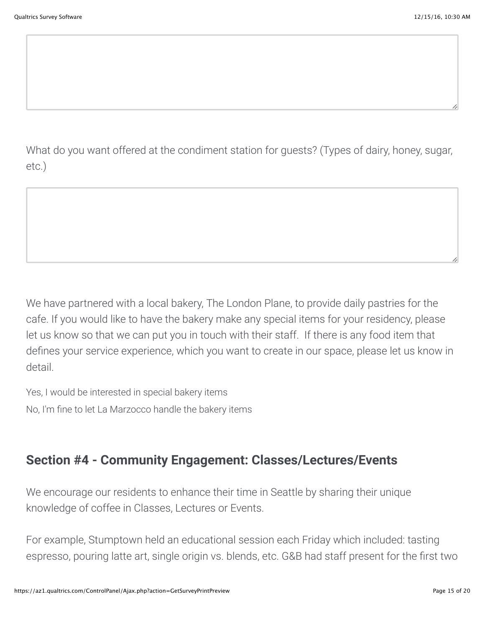What do you want offered at the condiment station for guests? (Types of dairy, honey, sugar, etc.)

We have partnered with a local bakery, The London Plane, to provide daily pastries for the cafe. If you would like to have the bakery make any special items for your residency, please let us know so that we can put you in touch with their staff. If there is any food item that defines your service experience, which you want to create in our space, please let us know in detail.

Yes, I would be interested in special bakery items No, I'm fine to let La Marzocco handle the bakery items

# **Section #4 - Community Engagement: Classes/Lectures/Events**

We encourage our residents to enhance their time in Seattle by sharing their unique knowledge of coffee in Classes, Lectures or Events.

For example, Stumptown held an educational session each Friday which included: tasting espresso, pouring latte art, single origin vs. blends, etc. G&B had staff present for the first two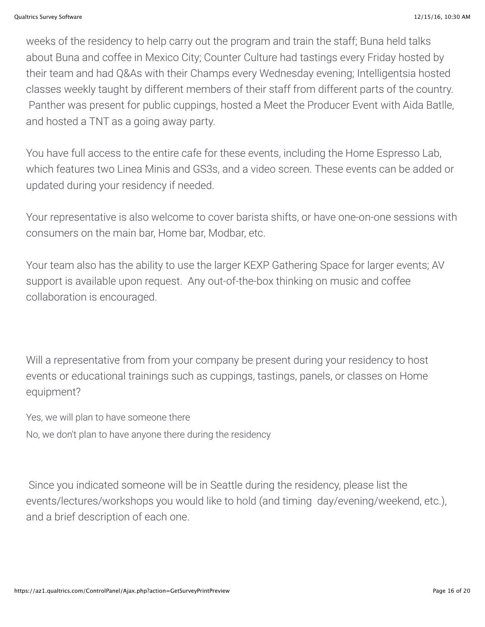weeks of the residency to help carry out the program and train the staff; Buna held talks about Buna and coffee in Mexico City; Counter Culture had tastings every Friday hosted by their team and had Q&As with their Champs every Wednesday evening; Intelligentsia hosted classes weekly taught by different members of their staff from different parts of the country. Panther was present for public cuppings, hosted a Meet the Producer Event with Aida Batlle, and hosted a TNT as a going away party.

You have full access to the entire cafe for these events, including the Home Espresso Lab, which features two Linea Minis and GS3s, and a video screen. These events can be added or updated during your residency if needed.

Your representative is also welcome to cover barista shifts, or have one-on-one sessions with consumers on the main bar, Home bar, Modbar, etc.

Your team also has the ability to use the larger KEXP Gathering Space for larger events; AV support is available upon request. Any out-of-the-box thinking on music and coffee collaboration is encouraged.

Will a representative from from your company be present during your residency to host events or educational trainings such as cuppings, tastings, panels, or classes on Home equipment?

Yes, we will plan to have someone there No, we don't plan to have anyone there during the residency

 Since you indicated someone will be in Seattle during the residency, please list the events/lectures/workshops you would like to hold (and timing day/evening/weekend, etc.), and a brief description of each one.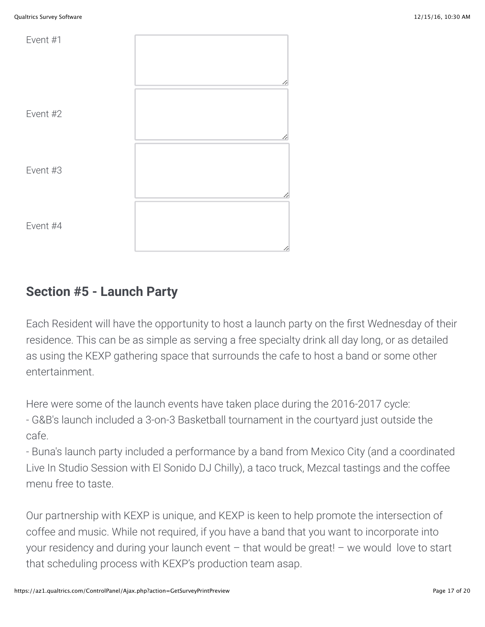

# **Section #5 - Launch Party**

Each Resident will have the opportunity to host a launch party on the first Wednesday of their residence. This can be as simple as serving a free specialty drink all day long, or as detailed as using the KEXP gathering space that surrounds the cafe to host a band or some other entertainment.

Here were some of the launch events have taken place during the 2016-2017 cycle:

- G&B's launch included a 3-on-3 Basketball tournament in the courtyard just outside the cafe.

- Buna's launch party included a performance by a band from Mexico City (and a coordinated Live In Studio Session with El Sonido DJ Chilly), a taco truck, Mezcal tastings and the coffee menu free to taste.

Our partnership with KEXP is unique, and KEXP is keen to help promote the intersection of coffee and music. While not required, if you have a band that you want to incorporate into your residency and during your launch event – that would be great! – we would love to start that scheduling process with KEXP's production team asap.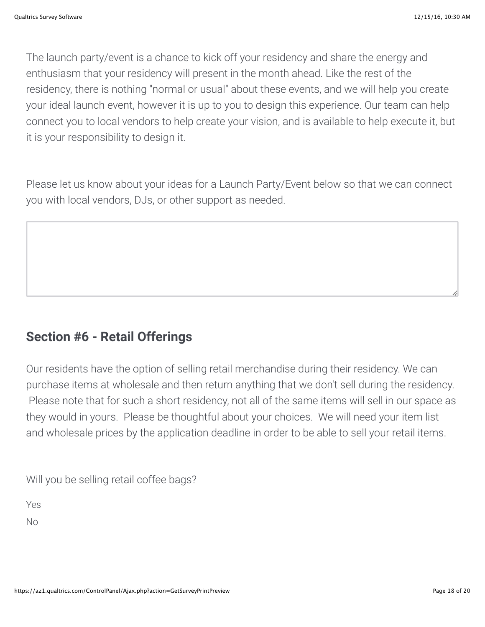The launch party/event is a chance to kick off your residency and share the energy and enthusiasm that your residency will present in the month ahead. Like the rest of the residency, there is nothing "normal or usual" about these events, and we will help you create your ideal launch event, however it is up to you to design this experience. Our team can help connect you to local vendors to help create your vision, and is available to help execute it, but it is your responsibility to design it.

Please let us know about your ideas for a Launch Party/Event below so that we can connect you with local vendors, DJs, or other support as needed.

# **Section #6 - Retail Offerings**

Our residents have the option of selling retail merchandise during their residency. We can purchase items at wholesale and then return anything that we don't sell during the residency. Please note that for such a short residency, not all of the same items will sell in our space as they would in yours. Please be thoughtful about your choices. We will need your item list and wholesale prices by the application deadline in order to be able to sell your retail items.

Will you be selling retail coffee bags?

Yes

No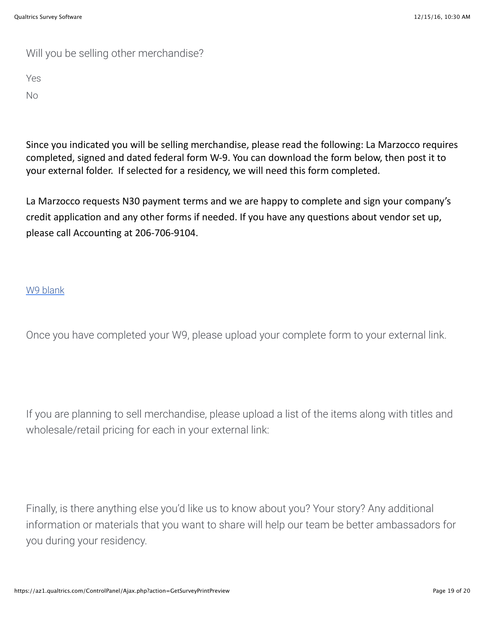# Will you be selling other merchandise?

Yes

No

Since you indicated you will be selling merchandise, please read the following: La Marzocco requires completed, signed and dated federal form W-9. You can download the form below, then post it to your external folder. If selected for a residency, we will need this form completed.

La Marzocco requests N30 payment terms and we are happy to complete and sign your company's credit application and any other forms if needed. If you have any questions about vendor set up, please call Accounting at 206-706-9104.

### [W9 blank](https://az1.qualtrics.com/ControlPanel/File.php?F=F_ac7VhZAFsLSkUpD)

Once you have completed your W9, please upload your complete form to your external link.

If you are planning to sell merchandise, please upload a list of the items along with titles and wholesale/retail pricing for each in your external link:

Finally, is there anything else you'd like us to know about you? Your story? Any additional information or materials that you want to share will help our team be better ambassadors for you during your residency.